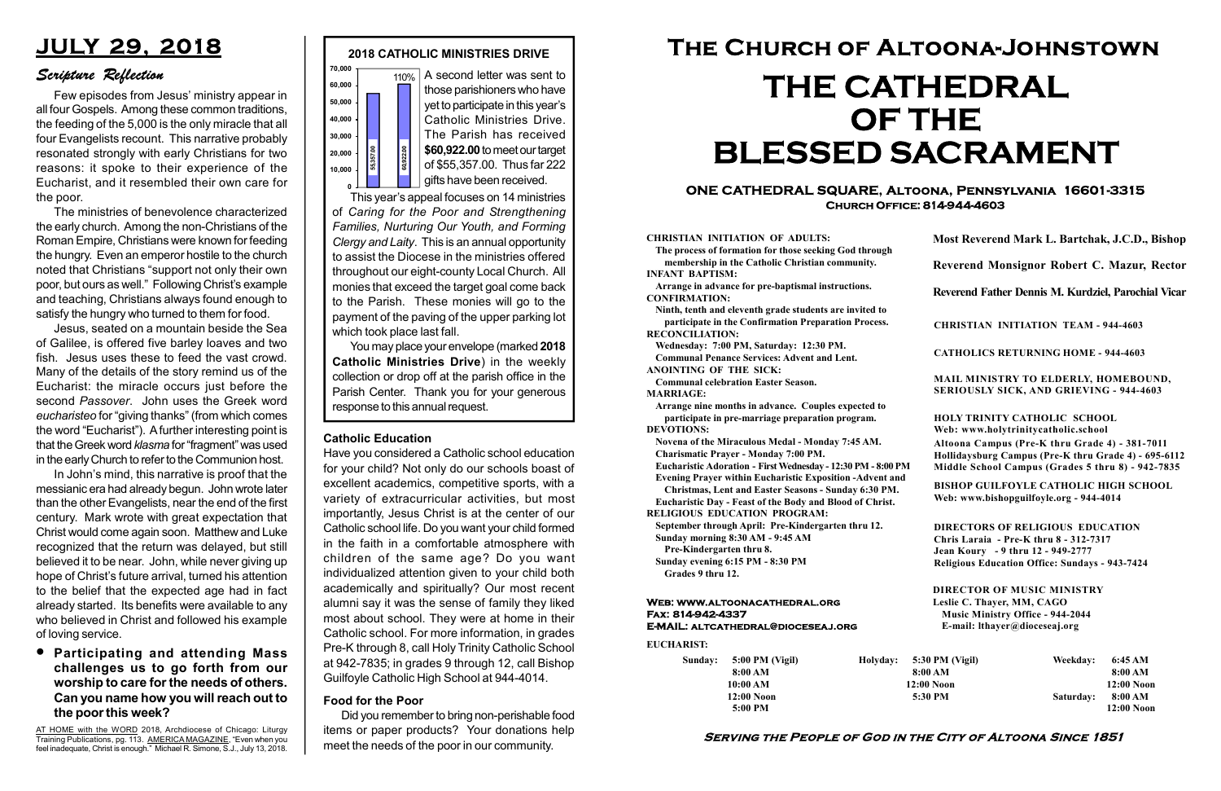#### Serving the People of God in the City of Altoona Since 1851

Sunday: 5:00 PM (Vigil) 8:00 AM 10:00 AM 12:00 Noon 5:00 PM

Holyday:

#### Web: www.altoonacathedral.org Fax: 814-942-4337 E-MAIL: altcathedral@dioceseaj.org

EUCHARIST:

#### CHRISTIAN INITIATION OF ADULTS:

The process of formation for those seeking God through membership in the Catholic Christian community. INFANT BAPTISM:

Arrange in advance for pre-baptismal instructions. CONFIRMATION:

Ninth, tenth and eleventh grade students are invited to participate in the Confirmation Preparation Process. RECONCILIATION:

Wednesday: 7:00 PM, Saturday: 12:30 PM. Communal Penance Services: Advent and Lent. ANOINTING OF THE SICK:

Communal celebration Easter Season.

MARRIAGE:

Arrange nine months in advance. Couples expected to participate in pre-marriage preparation program. DEVOTIONS:

Novena of the Miraculous Medal - Monday 7:45 AM.

Charismatic Prayer - Monday 7:00 PM. Eucharistic Adoration - First Wednesday - 12:30 PM - 8:00 PM

Evening Prayer within Eucharistic Exposition -Advent and

Christmas, Lent and Easter Seasons - Sunday 6:30 PM. Eucharistic Day - Feast of the Body and Blood of Christ.

|                         | Most Reverend Mark L. Bartchak, J.C.D., Bishop<br>Reverend Monsignor Robert C. Mazur, Rector                                                                                    |           |                         |
|-------------------------|---------------------------------------------------------------------------------------------------------------------------------------------------------------------------------|-----------|-------------------------|
|                         |                                                                                                                                                                                 |           |                         |
|                         | Reverend Father Dennis M. Kurdziel, Parochial Vicar                                                                                                                             |           |                         |
|                         | <b>CHRISTIAN INITIATION TEAM - 944-4603</b>                                                                                                                                     |           |                         |
|                         | <b>CATHOLICS RETURNING HOME - 944-4603</b>                                                                                                                                      |           |                         |
|                         | MAIL MINISTRY TO ELDERLY, HOMEBOUND,<br><b>SERIOUSLY SICK, AND GRIEVING - 944-4603</b>                                                                                          |           |                         |
|                         | <b>HOLY TRINITY CATHOLIC SCHOOL</b><br>Web: www.holytrinitycatholic.school                                                                                                      |           |                         |
| М                       | Altoona Campus (Pre-K thru Grade 4) - 381-7011<br>Hollidaysburg Campus (Pre-K thru Grade 4) - 695-6112<br>Middle School Campus (Grades 5 thru 8) - 942-7835                     |           |                         |
| ł                       | <b>BISHOP GUILFOYLE CATHOLIC HIGH SCHOOL</b><br>Web: www.bishopguilfoyle.org - 944-4014                                                                                         |           |                         |
|                         | <b>DIRECTORS OF RELIGIOUS EDUCATION</b><br>Chris Laraia - Pre-K thru 8 - 312-7317<br>Jean Koury - 9 thru 12 - 949-2777<br><b>Religious Education Office: Sundays - 943-7424</b> |           |                         |
|                         | <b>DIRECTOR OF MUSIC MINISTRY</b><br>Leslie C. Thayer, MM, CAGO<br><b>Music Ministry Office - 944-2044</b><br>E-mail: lthayer@dioceseaj.org                                     |           |                         |
| 5:30 PM (Vigil)         |                                                                                                                                                                                 | Weekday:  | 6:45 AM                 |
| 8:00 AM<br>$12:00$ Noon |                                                                                                                                                                                 |           | 8:00 AM<br>12:00 Noon   |
|                         | 5:30 PM                                                                                                                                                                         | Saturday: | 8:00 AM<br>$12:00$ Noon |
|                         |                                                                                                                                                                                 |           |                         |

RELIGIOUS EDUCATION PROGRAM:

This year's appeal focuses on 14 ministries of Caring for the Poor and Strengthening Families, Nurturing Our Youth, and Forming Clergy and Laity. This is an annual opportunity to assist the Diocese in the ministries offered throughout our eight-county Local Church. All monies that exceed the target goal come back to the Parish. These monies will go to the payment of the paving of the upper parking lot which took place last fall. response to this annual request.<br>
Fig. 360,922.00 to meet our target<br>
of \$55,357.00. Thus far 222<br>
gifts have been received.<br>
This year's appeal focuses on 14 ministries<br>
of Caring for the Poor and Strengthening<br>
Families

> September through April: Pre-Kindergarten thru 12. Sunday morning 8:30 AM - 9:45 AM

Pre-Kindergarten thru 8.

Sunday evening 6:15 PM - 8:30 PM Grades 9 thru 12.



**• Participating and attending Mass** challenges us to go forth from our worship to care for the needs of others. Can you name how you will reach out to the poor this week?

#### ONE CATHEDRAL SQUARE, Altoona, Pennsylvania 16601-3315 Church Office: 814-944-4603

# The Church of Altoona-Johnstown THE CATHEDRAL OF THE BLESSED SACRAMENT

You may place your envelope (marked 2018 Catholic Ministries Drive) in the weekly collection or drop off at the parish office in the Parish Center. Thank you for your generous

## JULY 29, 2018

### Scripture Reflection

Few episodes from Jesus' ministry appear in all four Gospels. Among these common traditions, the feeding of the 5,000 is the only miracle that all four Evangelists recount. This narrative probably resonated strongly with early Christians for two reasons: it spoke to their experience of the Eucharist, and it resembled their own care for the poor.

The ministries of benevolence characterized the early church. Among the non-Christians of the Roman Empire, Christians were known for feeding the hungry. Even an emperor hostile to the church noted that Christians "support not only their own poor, but ours as well." Following Christ's example and teaching, Christians always found enough to satisfy the hungry who turned to them for food.

Jesus, seated on a mountain beside the Sea of Galilee, is offered five barley loaves and two fish. Jesus uses these to feed the vast crowd. Many of the details of the story remind us of the Eucharist: the miracle occurs just before the second Passover. John uses the Greek word eucharisteo for "giving thanks" (from which comes the word "Eucharist"). A further interesting point is that the Greek word klasma for "fragment" was used in the early Church to refer to the Communion host.

In John's mind, this narrative is proof that the messianic era had already begun. John wrote later than the other Evangelists, near the end of the first century. Mark wrote with great expectation that Christ would come again soon. Matthew and Luke recognized that the return was delayed, but still believed it to be near. John, while never giving up hope of Christ's future arrival, turned his attention to the belief that the expected age had in fact already started. Its benefits were available to any who believed in Christ and followed his example of loving service.

#### Food for the Poor

Did you remember to bring non-perishable food items or paper products? Your donations help meet the needs of the poor in our community.

#### Catholic Education

Have you considered a Catholic school education for your child? Not only do our schools boast of excellent academics, competitive sports, with a variety of extracurricular activities, but most importantly, Jesus Christ is at the center of our Catholic school life. Do you want your child formed in the faith in a comfortable atmosphere with children of the same age? Do you want individualized attention given to your child both academically and spiritually? Our most recent alumni say it was the sense of family they liked most about school. They were at home in their Catholic school. For more information, in grades Pre-K through 8, call Holy Trinity Catholic School at 942-7835; in grades 9 through 12, call Bishop Guilfoyle Catholic High School at 944-4014.

AT HOME with the WORD 2018, Archdiocese of Chicago: Liturgy Training Publications, pg. 113. AMERICA MAGAZINE, "Even when you feel inadequate, Christ is enough." Michael R. Simone, S.J., July 13, 2018.